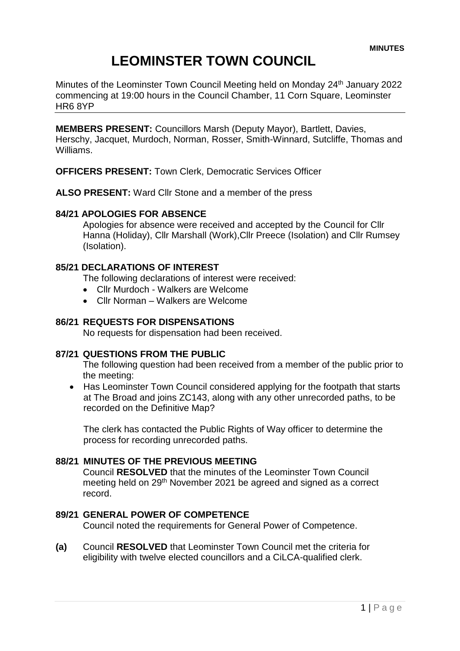# **LEOMINSTER TOWN COUNCIL**

Minutes of the Leominster Town Council Meeting held on Monday 24<sup>th</sup> January 2022 commencing at 19:00 hours in the Council Chamber, 11 Corn Square, Leominster HR6 8YP

**MEMBERS PRESENT:** Councillors Marsh (Deputy Mayor), Bartlett, Davies, Herschy, Jacquet, Murdoch, Norman, Rosser, Smith-Winnard, Sutcliffe, Thomas and Williams.

**OFFICERS PRESENT:** Town Clerk, Democratic Services Officer

**ALSO PRESENT:** Ward Cllr Stone and a member of the press

## **84/21 APOLOGIES FOR ABSENCE**

Apologies for absence were received and accepted by the Council for Cllr Hanna (Holiday), Cllr Marshall (Work),Cllr Preece (Isolation) and Cllr Rumsey (Isolation).

# **85/21 DECLARATIONS OF INTEREST**

The following declarations of interest were received:

- Cllr Murdoch Walkers are Welcome
- Cllr Norman Walkers are Welcome

## **86/21 REQUESTS FOR DISPENSATIONS**

No requests for dispensation had been received.

## **87/21 QUESTIONS FROM THE PUBLIC**

The following question had been received from a member of the public prior to the meeting:

• Has Leominster Town Council considered applying for the footpath that starts at The Broad and joins ZC143, along with any other unrecorded paths, to be recorded on the Definitive Map?

The clerk has contacted the Public Rights of Way officer to determine the process for recording unrecorded paths.

# **88/21 MINUTES OF THE PREVIOUS MEETING**

Council **RESOLVED** that the minutes of the Leominster Town Council meeting held on 29<sup>th</sup> November 2021 be agreed and signed as a correct record.

## **89/21 GENERAL POWER OF COMPETENCE**

Council noted the requirements for General Power of Competence.

**(a)** Council **RESOLVED** that Leominster Town Council met the criteria for eligibility with twelve elected councillors and a CiLCA-qualified clerk.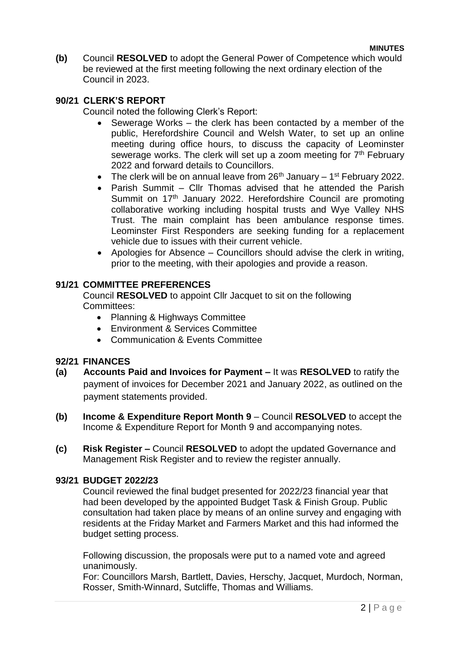**(b)** Council **RESOLVED** to adopt the General Power of Competence which would be reviewed at the first meeting following the next ordinary election of the Council in 2023.

## **90/21 CLERK'S REPORT**

Council noted the following Clerk's Report:

- Sewerage Works the clerk has been contacted by a member of the public, Herefordshire Council and Welsh Water, to set up an online meeting during office hours, to discuss the capacity of Leominster sewerage works. The clerk will set up a zoom meeting for 7<sup>th</sup> February 2022 and forward details to Councillors.
- The clerk will be on annual leave from  $26<sup>th</sup>$  January 1<sup>st</sup> February 2022.
- Parish Summit Cllr Thomas advised that he attended the Parish Summit on 17<sup>th</sup> January 2022. Herefordshire Council are promoting collaborative working including hospital trusts and Wye Valley NHS Trust. The main complaint has been ambulance response times. Leominster First Responders are seeking funding for a replacement vehicle due to issues with their current vehicle.
- Apologies for Absence Councillors should advise the clerk in writing, prior to the meeting, with their apologies and provide a reason.

# **91/21 COMMITTEE PREFERENCES**

Council **RESOLVED** to appoint Cllr Jacquet to sit on the following Committees:

- Planning & Highways Committee
- Environment & Services Committee
- Communication & Events Committee

## **92/21 FINANCES**

- **(a) Accounts Paid and Invoices for Payment –** It was **RESOLVED** to ratify the payment of invoices for December 2021 and January 2022, as outlined on the payment statements provided.
- **(b) Income & Expenditure Report Month 9** Council **RESOLVED** to accept the Income & Expenditure Report for Month 9 and accompanying notes.
- **(c) Risk Register –** Council **RESOLVED** to adopt the updated Governance and Management Risk Register and to review the register annually.

## **93/21 BUDGET 2022/23**

Council reviewed the final budget presented for 2022/23 financial year that had been developed by the appointed Budget Task & Finish Group. Public consultation had taken place by means of an online survey and engaging with residents at the Friday Market and Farmers Market and this had informed the budget setting process.

Following discussion, the proposals were put to a named vote and agreed unanimously.

For: Councillors Marsh, Bartlett, Davies, Herschy, Jacquet, Murdoch, Norman, Rosser, Smith-Winnard, Sutcliffe, Thomas and Williams.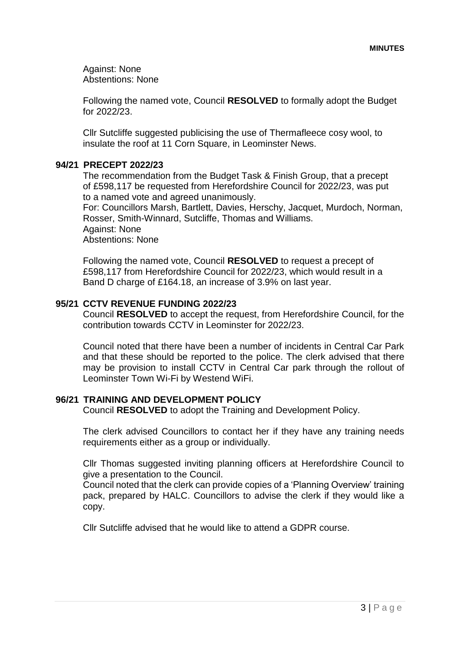Against: None Abstentions: None

Following the named vote, Council **RESOLVED** to formally adopt the Budget for 2022/23.

Cllr Sutcliffe suggested publicising the use of Thermafleece cosy wool, to insulate the roof at 11 Corn Square, in Leominster News.

## **94/21 PRECEPT 2022/23**

The recommendation from the Budget Task & Finish Group, that a precept of £598,117 be requested from Herefordshire Council for 2022/23, was put to a named vote and agreed unanimously.

For: Councillors Marsh, Bartlett, Davies, Herschy, Jacquet, Murdoch, Norman, Rosser, Smith-Winnard, Sutcliffe, Thomas and Williams.

Against: None

Abstentions: None

Following the named vote, Council **RESOLVED** to request a precept of £598,117 from Herefordshire Council for 2022/23, which would result in a Band D charge of £164.18, an increase of 3.9% on last year.

# **95/21 CCTV REVENUE FUNDING 2022/23**

Council **RESOLVED** to accept the request, from Herefordshire Council, for the contribution towards CCTV in Leominster for 2022/23.

Council noted that there have been a number of incidents in Central Car Park and that these should be reported to the police. The clerk advised that there may be provision to install CCTV in Central Car park through the rollout of Leominster Town Wi-Fi by Westend WiFi.

# **96/21 TRAINING AND DEVELOPMENT POLICY**

Council **RESOLVED** to adopt the Training and Development Policy.

The clerk advised Councillors to contact her if they have any training needs requirements either as a group or individually.

Cllr Thomas suggested inviting planning officers at Herefordshire Council to give a presentation to the Council.

Council noted that the clerk can provide copies of a 'Planning Overview' training pack, prepared by HALC. Councillors to advise the clerk if they would like a copy.

Cllr Sutcliffe advised that he would like to attend a GDPR course.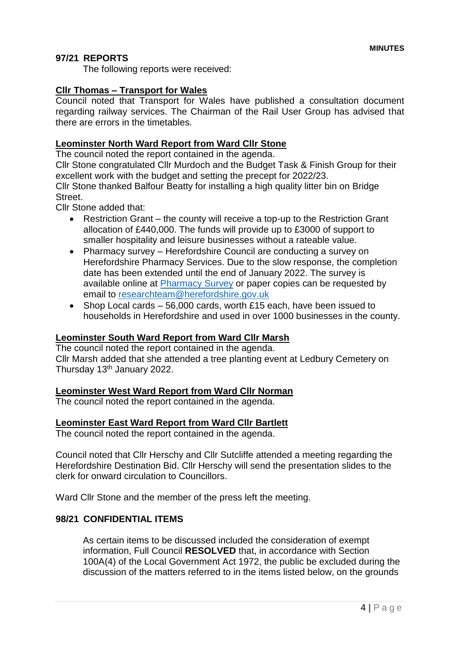# **97/21 REPORTS**

The following reports were received:

## **Cllr Thomas – Transport for Wales**

Council noted that Transport for Wales have published a consultation document regarding railway services. The Chairman of the Rail User Group has advised that there are errors in the timetables.

# **Leominster North Ward Report from Ward Cllr Stone**

The council noted the report contained in the agenda.

Cllr Stone congratulated Cllr Murdoch and the Budget Task & Finish Group for their excellent work with the budget and setting the precept for 2022/23. Cllr Stone thanked Balfour Beatty for installing a high quality litter bin on Bridge Street.

Cllr Stone added that:

- Restriction Grant the county will receive a top-up to the Restriction Grant allocation of £440,000. The funds will provide up to £3000 of support to smaller hospitality and leisure businesses without a rateable value.
- Pharmacy survey Herefordshire Council are conducting a survey on Herefordshire Pharmacy Services. Due to the slow response, the completion date has been extended until the end of January 2022. The survey is available online at [Pharmacy Survey](https://online1.snapsurveys.com/PNA2022) or paper copies can be requested by email to [researchteam@herefordshire.gov.uk](mailto:researchteam@herefordshire.gov.uk)
- Shop Local cards 56,000 cards, worth £15 each, have been issued to households in Herefordshire and used in over 1000 businesses in the county.

## **Leominster South Ward Report from Ward Cllr Marsh**

The council noted the report contained in the agenda. Cllr Marsh added that she attended a tree planting event at Ledbury Cemetery on Thursday 13th January 2022.

## **Leominster West Ward Report from Ward Cllr Norman**

The council noted the report contained in the agenda.

# **Leominster East Ward Report from Ward Cllr Bartlett**

The council noted the report contained in the agenda.

Council noted that Cllr Herschy and Cllr Sutcliffe attended a meeting regarding the Herefordshire Destination Bid. Cllr Herschy will send the presentation slides to the clerk for onward circulation to Councillors.

Ward Cllr Stone and the member of the press left the meeting.

## **98/21 CONFIDENTIAL ITEMS**

As certain items to be discussed included the consideration of exempt information, Full Council **RESOLVED** that, in accordance with Section 100A(4) of the Local Government Act 1972, the public be excluded during the discussion of the matters referred to in the items listed below, on the grounds